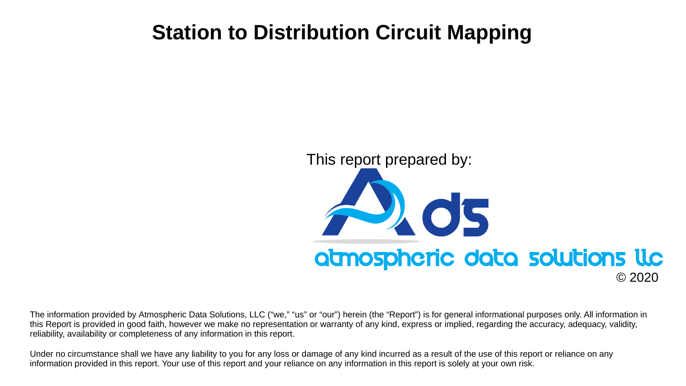## **Station to Distribution Circuit Mapping**

#### This report prepared by:



© 2020

The information provided by Atmospheric Data Solutions, LLC ("we," "us" or "our") herein (the "Report") is for general informational purposes only. All information in this Report is provided in good faith, however we make no representation or warranty of any kind, express or implied, regarding the accuracy, adequacy, validity, reliability, availability or completeness of any information in this report.

Under no circumstance shall we have any liability to you for any loss or damage of any kind incurred as a result of the use of this report or reliance on any information provided in this report. Your use of this report and your reliance on any information in this report is solely at your own risk.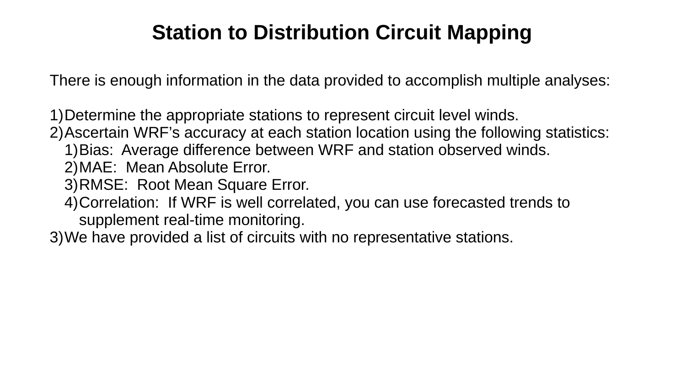# **Station to Distribution Circuit Mapping**

There is enough information in the data provided to accomplish multiple analyses:

1)Determine the appropriate stations to represent circuit level winds.

2)Ascertain WRF's accuracy at each station location using the following statistics:

- 1)Bias: Average difference between WRF and station observed winds.
- 2)MAE: Mean Absolute Error.
- 3)RMSE: Root Mean Square Error.
- 4)Correlation: If WRF is well correlated, you can use forecasted trends to supplement real-time monitoring.
- 3)We have provided a list of circuits with no representative stations.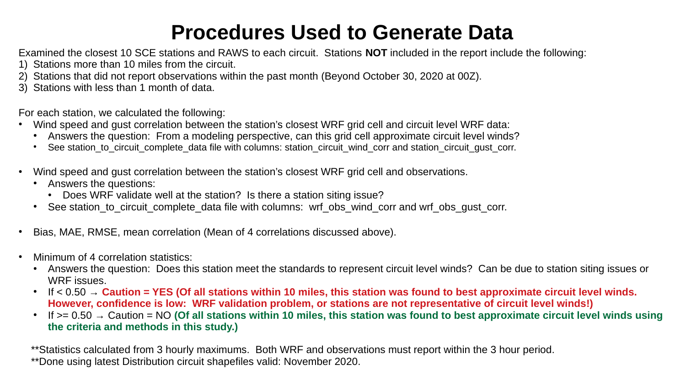# **Procedures Used to Generate Data**

Examined the closest 10 SCE stations and RAWS to each circuit. Stations **NOT** included in the report include the following:

- 1) Stations more than 10 miles from the circuit.
- 2) Stations that did not report observations within the past month (Beyond October 30, 2020 at 00Z).
- 3) Stations with less than 1 month of data.

For each station, we calculated the following:

- Wind speed and gust correlation between the station's closest WRF grid cell and circuit level WRF data:
	- Answers the question: From a modeling perspective, can this grid cell approximate circuit level winds?
	- See station to circuit complete data file with columns: station circuit wind corr and station circuit qust corr.
- Wind speed and gust correlation between the station's closest WRF grid cell and observations.
	- Answers the questions:
		- Does WRF validate well at the station? Is there a station siting issue?
	- See station to circuit complete data file with columns: wrf obs\_wind\_corr and wrf\_obs\_qust\_corr.
- Bias, MAE, RMSE, mean correlation (Mean of 4 correlations discussed above).
- Minimum of 4 correlation statistics:
	- Answers the question: Does this station meet the standards to represent circuit level winds? Can be due to station siting issues or WRF issues.
	- If  $<$  0.50  $\rightarrow$  Caution = YES (Of all stations within 10 miles, this station was found to best approximate circuit level winds. **However, confidence is low: WRF validation problem, or stations are not representative of circuit level winds!)**
	- $\cdot$  If  $>= 0.50$   $\rightarrow$  Caution = NO (Of all stations within 10 miles, this station was found to best approximate circuit level winds using **the criteria and methods in this study.)**

\*\*Statistics calculated from 3 hourly maximums. Both WRF and observations must report within the 3 hour period. \*\*Done using latest Distribution circuit shapefiles valid: November 2020.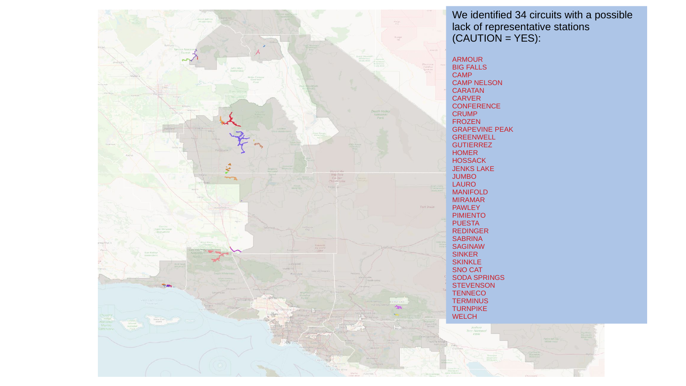

We identified 34 circuits with a possible lack of representative stations (CAUTION = YES):

GRAPEVINE PEAK

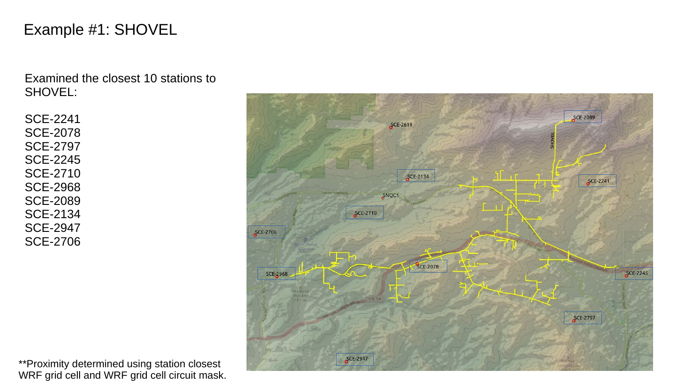### Example #1: SHOVEL

Examined the closest 10 stations to SHOVEL:

SCE-2241 SCE-2078 SCE-2797 SCE-2245 SCE-2710 SCE-2968 SCE-2089 SCE-2134 SCE-2947 SCE-2706

\*\*Proximity determined using station closest WRF grid cell and WRF grid cell circuit mask.

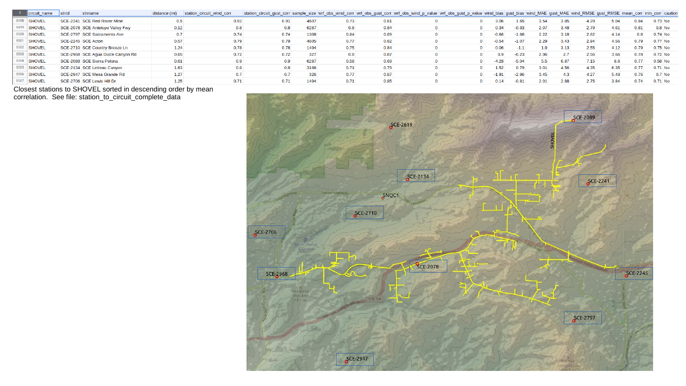| $-1$ | circuit name  | <b>Stnid</b> | stnname                           | distance (mi) | station circuit wind corr | station_circuit_gust_corr sample_size wrf_obs_wind_corr wrf_obs_gust_corr wrf_obs_wind_p_value wrf_obs_gust_p_value wind_bias gust_bias wind_MAE gust_MAE wind_RMSE igust_RMSE mean_corr min_corr caution |      |      |      |  |         |         |                  |      |      |      |      |           |
|------|---------------|--------------|-----------------------------------|---------------|---------------------------|-----------------------------------------------------------------------------------------------------------------------------------------------------------------------------------------------------------|------|------|------|--|---------|---------|------------------|------|------|------|------|-----------|
|      | <b>SHOVEL</b> |              | SCE-2241 SCE Red Rover Mine       | 0.5           | 0.92                      | 0.91                                                                                                                                                                                                      | 4607 | 0.73 | 0.81 |  | 3.06    | 1.65    | 3.54             | 3.85 | 4.29 | 5.04 | 0.84 | 0.73 No   |
|      | <b>SHOVEL</b> |              | SCE-2078 SCE Antelope Valley Fwy  | 0.12          | 0.8                       | 0.8                                                                                                                                                                                                       | 6287 | 0.8  | 0.84 |  | 0.34    | $-0.93$ | 2.07             | 3.48 | 2.79 | 4.61 | 0.81 | $0.8$ No  |
|      | <b>SHOVEL</b> |              | SCE-2797 SCE Sacramento Ave       | 0.7           | 0.74                      | 0.74                                                                                                                                                                                                      | 1308 | 0.84 | 0.89 |  | $-0.66$ | $-1.88$ | 2.22             | 3.18 | 2.82 | 4.14 | 0.8  | $0.74$ No |
|      | <b>SHOVEL</b> |              | SCE-2245 SCE Acton                | 0.57          | 0.79                      | 0.79                                                                                                                                                                                                      | 4605 | 0.77 | 0.82 |  | $-0.54$ | $-1.07$ | 2.29             | 3.43 | 2.94 | 4.56 | 0.79 | 0.77 No   |
|      | <b>SHOVEL</b> |              | SCE-2710 SCE Country Breeze Ln    | 1.24          | 0.78                      | 0.78                                                                                                                                                                                                      | 1494 | 0.75 | 0.84 |  | 0.06    | $-1.1$  | 1.9 <sup>°</sup> | 3.13 | 2.55 | 4.12 | 0.79 | 0.75 No   |
|      | <b>SHOVEL</b> |              | SCE-2968 SCE Agua Dulce Canyon Rd | 0.65          | 0.72                      | 0.72                                                                                                                                                                                                      | 327  | 0.8  | 0.87 |  | 0.9     | $-0.23$ | 2.06             | 2.7  | 2.56 | 3.66 | 0.78 | $0.72$ No |
|      | <b>SHOVEL</b> |              | SCE-2089 SCE Sierra Pelona        | 0.61          | 0.9                       | 0.9 <sup>°</sup>                                                                                                                                                                                          | 6287 | 0.58 | 0.69 |  | $-4.28$ | $-5.04$ | 5.5              | 6.87 | 7.15 | 8.6  | 0.77 | $0.58$ No |
|      | <b>SHOVEL</b> |              | SCE-2134 SCE Letteau Canyon       | 1.63          | 0.8                       | 0.8                                                                                                                                                                                                       | 3186 | 0.71 | 0.79 |  | 1.52    | 0.79    | 3.01             | 4.56 | 4.35 | 6.35 | 0.77 | 0.71 No   |
|      | <b>SHOVEL</b> |              | SCE-2947 SCE Mesa Grande Rd       | 1.27          | 0.7                       | 0.7                                                                                                                                                                                                       | 326  | 0.77 | 0.87 |  |         | $-2.96$ | 3.45             | 4.3  | 4.27 | 5.48 | 0.76 | 0.7 No    |
|      | <b>SHOVEL</b> |              | SCE-2706 SCE Lewis Hill Dr        | 1.25          | 0.71                      | 0.71                                                                                                                                                                                                      | 1494 | 0.71 | 0.85 |  | 0.14    | $-0.81$ | 2.01             | 2.88 | 2.75 | 3.84 | 0.74 | 0.71 No   |

Closest stations to SHOVEL sorted in descending order by mean correlation. See file: station\_to\_circuit\_complete\_data

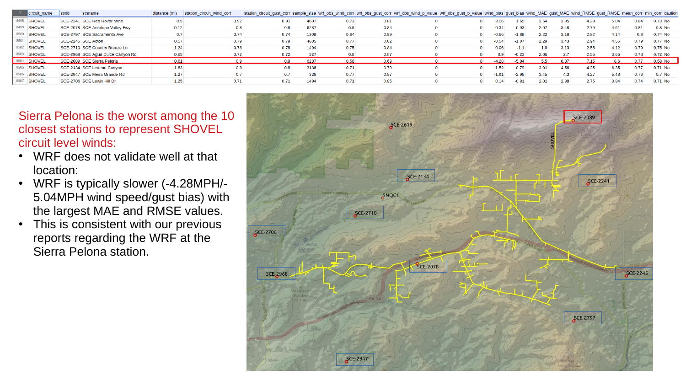|      | circuit name  | stnid | stnname                           | distance (mi) | station circuit wind corr | station_circuit_gust_corr sample_size wrf_obs_wind_corr wrf_obs_gust_corr wrf_obs_wind_p_value wrf_obs_gust_p_value wind_bias gust_bias wind_MAE gust_MAE wind_RMSE gust_RMSE mean_corr min_corr caution |      |      |      |  |                  |         |      |      |      |      |      |           |
|------|---------------|-------|-----------------------------------|---------------|---------------------------|----------------------------------------------------------------------------------------------------------------------------------------------------------------------------------------------------------|------|------|------|--|------------------|---------|------|------|------|------|------|-----------|
|      | <b>SHOVEL</b> |       | SCE-2241 SCE Red Rover Mine       | 0.5           | 0.92                      | 0.91                                                                                                                                                                                                     | 4607 | 0.73 | 0.81 |  | 3.06             | 1.65    | 3.54 | 3.85 | 4.29 | 5.04 | 0.84 | 0.73 No   |
|      | <b>SHOVEL</b> |       | SCE-2078 SCE Antelope Valley Fwy  | 0.12          | 0.8                       | 0.8                                                                                                                                                                                                      | 6287 | 0.8  | 0.84 |  | 0.34             | $-0.93$ | 2.07 | 3.48 | 2.79 | 4.61 | 0.81 | $0.8$ No  |
|      | <b>SHOVEL</b> |       | SCE-2797 SCE Sacramento Ave       | 0.7           | 0.74                      | 0.74                                                                                                                                                                                                     | 1308 | 0.84 | 0.89 |  | $-0.66$          | $-1.88$ | 2.22 | 3.18 | 2.82 | 4.14 | 0.8  | $0.74$ No |
|      | <b>SHOVEL</b> |       | SCE-2245 SCE Acton                | 0.57          | 0.79                      | 0.79                                                                                                                                                                                                     | 4605 | 0.77 | 0.82 |  | $-0.54$          | $-1.07$ | 2.29 | 3.43 | 2.94 | 4.56 | 0.79 | 0.77 No   |
|      | <b>SHOVEL</b> |       | SCE-2710 SCE Country Breeze Ln    | 1.24          | 0.78                      | 0.78                                                                                                                                                                                                     | 1494 | 0.75 | 0.84 |  | 0.06             | $-1.1$  | 1.9  | 3.13 | 2.55 | 4.12 | 0.79 | $0.75$ No |
|      | <b>SHOVEL</b> |       | SCE-2968 SCE Agua Dulce Canyon Rd | 0.65          | 0.72                      | 0.72                                                                                                                                                                                                     | 327  | 0.8  | 0.87 |  | 0.9 <sup>°</sup> | $-0.23$ | 2.06 | 2.7  | 2.56 | 3.66 | 0.78 | 0.72 No   |
| 8504 | <b>SHOVEL</b> |       | SCE-2089 SCE Sierra Pelona        | 0.61          | 0.9                       | 0.9 <sup>°</sup>                                                                                                                                                                                         | 6287 | 0.58 | 0.69 |  | $-4.28$          | $-5.04$ | 5.5  | 6.87 | 7.15 | 8.6  | 0.77 | 0.58 No   |
|      | <b>SHOVEL</b> |       | SCE-2134 SCE Letteau Canyon       | 1.63          | 0.8                       | 0.8                                                                                                                                                                                                      | 3186 | 0.71 | 0.79 |  | 1.52             | 0.79    | 3.01 | 4.56 | 4.35 | 6.35 | 0.77 | $0.71$ No |
|      | <b>SHOVEL</b> |       | SCE-2947 SCE Mesa Grande Rd       | 1.27          |                           | 0.7                                                                                                                                                                                                      | 326  | 0.77 | 0.87 |  | $-1.91$          | $-2.96$ | 3.45 | 4.3  | 4.27 | 5.48 | 0.76 | $0.7$ No  |
|      | <b>SHOVEL</b> |       | SCE-2706 SCE Lewis Hill Dr        | 1.25          | 0.71                      | 0.71                                                                                                                                                                                                     | 1494 | 0.71 | 0.85 |  | 0.14             | $-0.81$ | 2.01 | 2.88 | 2.75 | 3.84 | 0.74 | $0.71$ No |

Sierra Pelona is the worst among the 10 closest stations to represent SHOVEL circuit level winds:

- WRF does not validate well at that location:
- WRF is typically slower (-4.28MPH/-5.04MPH wind speed/gust bias) with the largest MAE and RMSE values.
- This is consistent with our previous reports regarding the WRF at the Sierra Pelona station.

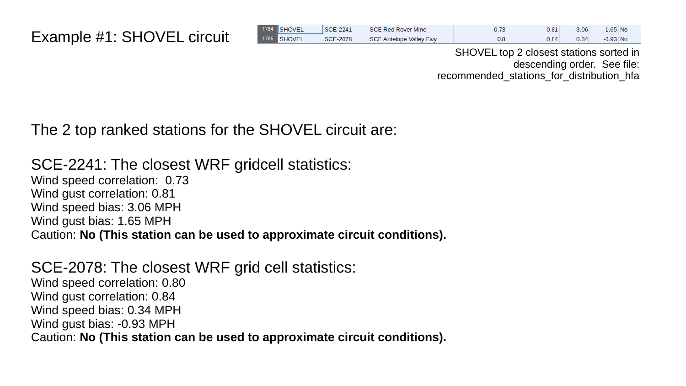| 1784 SHOVEL | <b>SCE-2241</b> | <b>SCE Red Rover Mine</b>      | 0.73 | 0.81 | 3.06 | $1.65$ No   |
|-------------|-----------------|--------------------------------|------|------|------|-------------|
| 1785 SHOVEL | <b>SCE-2078</b> | <b>SCE Antelope Valley Fwy</b> | 0.8  | 0.84 | 0.34 | $-0.93$ No. |

SHOVEL top 2 closest stations sorted in descending order. See file: recommended stations for distribution hfa

### The 2 top ranked stations for the SHOVEL circuit are:

SCE-2241: The closest WRF gridcell statistics: Wind speed correlation: 0.73 Wind gust correlation: 0.81 Wind speed bias: 3.06 MPH Wind gust bias: 1.65 MPH Caution: **No (This station can be used to approximate circuit conditions).**

SCE-2078: The closest WRF grid cell statistics: Wind speed correlation: 0.80 Wind gust correlation: 0.84 Wind speed bias: 0.34 MPH Wind gust bias: -0.93 MPH Caution: **No (This station can be used to approximate circuit conditions).**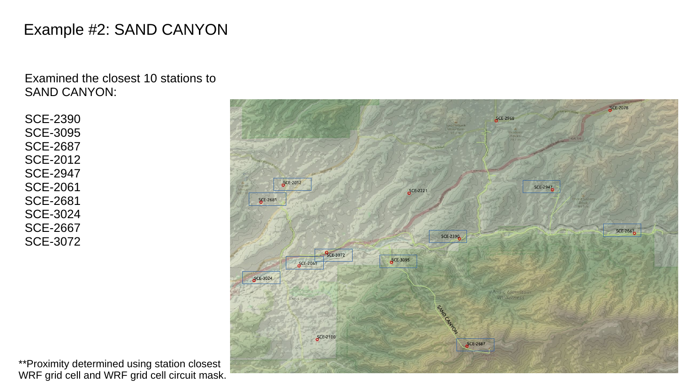### Example #2: SAND CANYON

Examined the closest 10 stations to SAND CANYON:

SCE-2390 SCE-3095 SCE-2687 SCE-2012 SCE-2947 SCE-2061 SCE-2681 SCE-3024 SCE-2667 SCE-3072



**SCE-207** 

\*\*Proximity determined using station closest WRF grid cell and WRF grid cell circuit mask.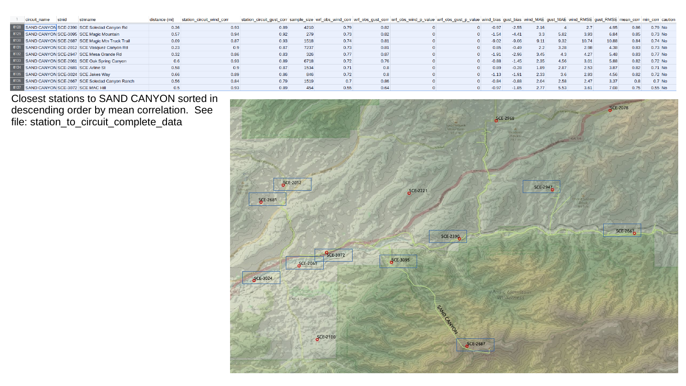| circuit name                            | stnid | stnname                                             | distance (mi) | station circuit wind corr | station_circuit_gust_corr sample_size wrf_obs_wind_corr  wrf_obs_gust_corr  wrf_obs_wind_p_value  wrf_obs_gust_p_value  wind_bias  gust_bias  wind_MAE  gust_MAE  wind_RMSE  gust_RMSE  mean_corr  min_corr   caution |      |      |      |  |         |         |                  |      |       |       |      |           |  |
|-----------------------------------------|-------|-----------------------------------------------------|---------------|---------------------------|-----------------------------------------------------------------------------------------------------------------------------------------------------------------------------------------------------------------------|------|------|------|--|---------|---------|------------------|------|-------|-------|------|-----------|--|
|                                         |       | 8128 SAND CANYON SCE-2390 SCE Soledad Canyon Rd     | 0.36          | 0.93                      | 0.89                                                                                                                                                                                                                  | 4210 | 0.79 | 0.82 |  | $-0.97$ | $-2.55$ | 2.16             |      |       | 4.95  | 0.86 | $0.79$ No |  |
|                                         |       | 8129 SAND CANYON SCE-3095 SCE Magic Mountain        | 0.57          | 0.94                      | 0.92                                                                                                                                                                                                                  | 279  | 0.73 | 0.82 |  | $-1.54$ | $-4.41$ | 3.3 <sup>°</sup> | 5.82 | 3.93  | 6.84  | 0.85 | $0.73$ No |  |
|                                         |       | 8130 SAND CANYON SCE-2687 SCE Magic Mtn Truck Trail | 0.09          | 0.87                      | 0.93                                                                                                                                                                                                                  | 1518 | 0.74 | 0.81 |  | $-9.02$ | $-9.06$ | 9.11             | 9.32 | 10.74 | 10.88 | 0.84 | $0.74$ No |  |
|                                         |       | 8131 SAND CANYON SCE-2012 SCE Vasquez Canyon Rd     | 0.23          | 0.9                       | 0.87                                                                                                                                                                                                                  | 7237 | 0.73 | 0.81 |  | 0.85    | $-0.49$ |                  | 3.28 | 2.98  | 4.38  | 0.83 | $0.73$ No |  |
|                                         |       | 8132 SAND CANYON SCE-2947 SCE Mesa Grande Rd        | 0.32          | 0.86                      | 0.83                                                                                                                                                                                                                  | 326  | 0.77 | 0.87 |  | $-1.91$ | $-2.96$ | 3.45             | 4.3  | 4.27  | 5.48  | 0.83 | 0.77 No   |  |
|                                         |       | 8133 SAND CANYON SCE-2061 SCE Oak Spring Canyon     | 0.6           | 0.93                      | 0.89                                                                                                                                                                                                                  | 6718 | 0.72 | 0.76 |  | $-0.88$ | $-1.45$ | 2.35             | 4.56 | 3.01  | 5.88  | 0.82 | $0.72$ No |  |
| 8134 SAND CANYON SCE-2681 SCE Arline St |       |                                                     | 0.58          | 0.9                       | 0.87                                                                                                                                                                                                                  | 1534 | 0.71 | 0.8  |  | 0.89    | 0.28    | 1.89             | 2.87 | 2.53  | 3.87  | 0.82 | $0.71$ No |  |
|                                         |       | 8135 SAND CANYON SCE-3024 SCE Jakes Way             | 0.66          | 0.89                      | 0.86                                                                                                                                                                                                                  | 846  | 0.72 | 0.8  |  | $-1.13$ | $-1.91$ | 2.33             | 3.6  | 2.93  | 4.56  | 0.82 | $0.72$ No |  |
|                                         |       | 8136 SAND CANYON SCE-2667 SCE Soledad Canyon Ranch  | 0.56          | 0.84                      | 0.79                                                                                                                                                                                                                  | 1519 | 0.7  | 0.86 |  | $-0.84$ | $-0.88$ | 2.04             | 2.58 | 2.47  | 3.37  | 0.8  | $0.7$ No  |  |
| 8137 SAND CANYON SCE-3072 SCE MAC Hill  |       |                                                     | 0.5           | 0.93                      | 0.89                                                                                                                                                                                                                  | 454  | 0.55 | 0.64 |  | $-0.97$ | $-1.85$ | 2.77             | 5.53 | 3.61  | 7.08  | 0.75 | $0.55$ No |  |

Closest stations to SAND CANYON sorted in descending order by mean correlation. See file: station\_to\_circuit\_complete\_data

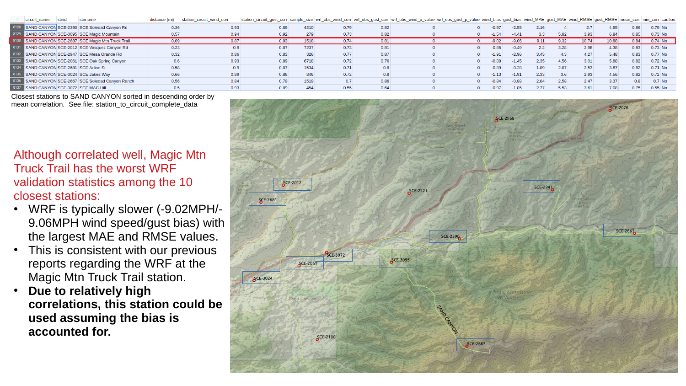| circuit name | stnid | stnname                                         | distance<br>(mi) | station circuit wind corr | station_circuit_gust_corr sample_size wrf_obs_wind_corr wrf_obs_gust_corr wrf_obs_wind_p_value wrf_obs_gust_p_value wind_bias gust_bias wind_MAE gust_MAE wind_RMSE gust_RMSE gust_RMSE mean_corr min_corr caution |      |      |      |  |         |         |                  |      |       |       |      |           |
|--------------|-------|-------------------------------------------------|------------------|---------------------------|--------------------------------------------------------------------------------------------------------------------------------------------------------------------------------------------------------------------|------|------|------|--|---------|---------|------------------|------|-------|-------|------|-----------|
|              |       | 8128 SAND CANYON SCE-2390 SCE Soledad Canyon Rd | 0.36             | 0.93                      | 0.89                                                                                                                                                                                                               | 4210 | 0.79 | 0.82 |  | $-0.97$ | $-2.55$ | 2.16             |      |       | 4.95  | 0.86 | 0.79 No   |
|              |       | SAND CANYON SCE-3095 SCE Magic Mountain         | 0.57             | 0.94                      | 0.92                                                                                                                                                                                                               | 279  | 0.73 | 0.82 |  | $-1.54$ | $-4.41$ | 3.3 <sub>°</sub> | 5.82 | 3.93  | 6.84  | 0.85 | 0.73 No   |
|              |       | SAND CANYON SCE-2687 SCE Magic Mtn Truck Trail  | 0.09             | 0.87                      | 0.93                                                                                                                                                                                                               | 1518 | 0.74 | 0.81 |  | $-9.02$ | $-9.06$ | 9.11             | 9.32 | 10.74 | 10.88 | 0.84 | $0.74$ No |
|              |       | SAND CANYON SCE-2012 SCE Vasquez Canyon Rd      | 0.23             | 0.9                       | 0.87                                                                                                                                                                                                               | 7237 | 0.73 | 0.81 |  | 0.85    | $-0.49$ | 2.2              | 3.28 | 2.98  | 4.38  | 0.83 | $0.73$ No |
|              |       | 8132 SAND CANYON SCE-2947 SCE Mesa Grande Rd    | 0.32             | 0.86                      | 0.83                                                                                                                                                                                                               | 326  | 0.77 | 0.87 |  | $-1.91$ | $-2.96$ | 3.45             | 4.3  | 4.27  | 5.48  | 0.83 | $0.77$ No |
|              |       | SAND CANYON SCE-2061 SCE Oak Spring Canyon      | 0.6              | 0.93                      | 0.89                                                                                                                                                                                                               | 6718 | 0.72 | 0.76 |  | $-0.88$ | $-1.45$ | 2.35             | 4.56 | 3.01  | 5.88  | 0.82 | 0.72 No   |
|              |       | SAND CANYON SCE-2681 SCE Arline St              | 0.58             | 0.9                       | 0.87                                                                                                                                                                                                               | 1534 | 0.71 | 0.8  |  | 0.89    | $-0.28$ | 1.89             | 2.87 | 2.53  | 3.87  | 0.82 | $0.71$ No |
|              |       | SAND CANYON SCE-3024 SCE Jakes Way              | 0.66             | 0.89                      | 0.86                                                                                                                                                                                                               | 846  | 0.72 | 0.8  |  | 1.13    | $-1.91$ | 2.33             | 3.6  | 2.93  | 4.56  | 0.82 | $0.72$ No |
|              |       | SAND CANYON SCE-2667 SCE Soledad Canyon Ranch   | 0.56             | 0.84                      | 0.79                                                                                                                                                                                                               | 1519 | 0.7  | 0.86 |  | $-0.84$ | $-0.88$ | 2.04             | 2.58 | 2.47  | 3.37  | 0.8  | $0.7$ No  |
|              |       | SAND CANYON SCE-3072 SCE MAC Hill               | 0.5              | 0.93                      | 0.89                                                                                                                                                                                                               | 454  | 0.55 | 0.64 |  | $-0.97$ | $-1.85$ | 2.77             | 5.53 | 3.61  | 7.08  | 0.75 | $0.55$ No |

Closest stations to SAND CANYON sorted in descending order by mean correlation. See file: station to circuit complete data

Although correlated well, Magic Mtn Truck Trail has the worst WRF validation statistics among the 10 closest stations:

- WRF is typically slower (-9.02MPH/-9.06MPH wind speed/gust bias) with the largest MAE and RMSE values.
- This is consistent with our previous reports regarding the WRF at the Magic Mtn Truck Trail station.
- **Due to relatively high correlations, this station could be used assuming the bias is accounted for.**